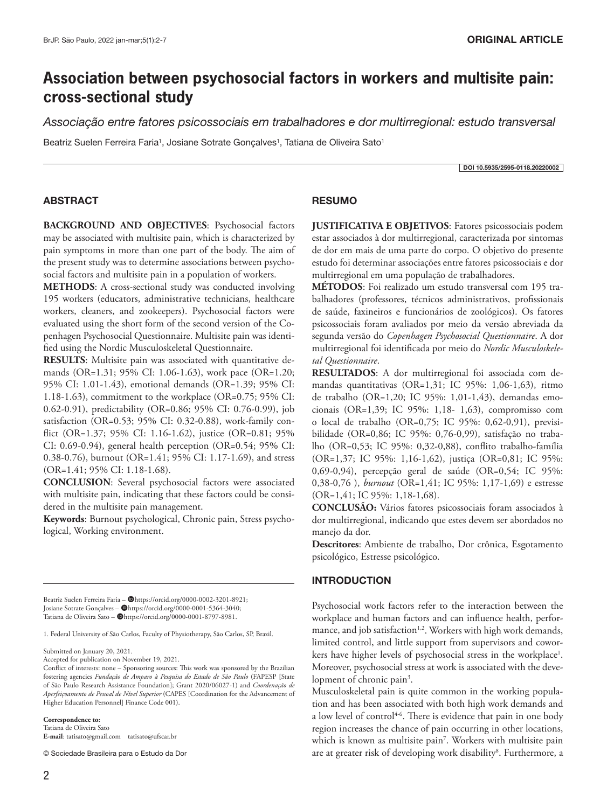# **Association between psychosocial factors in workers and multisite pain: cross-sectional study**

*Associação entre fatores psicossociais em trabalhadores e dor multirregional: estudo transversal*

Beatriz Suelen Ferreira Faria<sup>1</sup>, Josiane Sotrate Gonçalves<sup>1</sup>, Tatiana de Oliveira Sato<sup>1</sup>

DOI 10.5935/2595-0118.20220002

## ABSTRACT

**BACKGROUND AND OBJECTIVES**: Psychosocial factors may be associated with multisite pain, which is characterized by pain symptoms in more than one part of the body. The aim of the present study was to determine associations between psychosocial factors and multisite pain in a population of workers.

**METHODS**: A cross-sectional study was conducted involving 195 workers (educators, administrative technicians, healthcare workers, cleaners, and zookeepers). Psychosocial factors were evaluated using the short form of the second version of the Copenhagen Psychosocial Questionnaire. Multisite pain was identified using the Nordic Musculoskeletal Questionnaire.

**RESULTS**: Multisite pain was associated with quantitative demands (OR=1.31; 95% CI: 1.06-1.63), work pace (OR=1.20; 95% CI: 1.01-1.43), emotional demands (OR=1.39; 95% CI: 1.18-1.63), commitment to the workplace (OR=0.75; 95% CI: 0.62-0.91), predictability (OR=0.86; 95% CI: 0.76-0.99), job satisfaction (OR=0.53; 95% CI: 0.32-0.88), work-family conflict (OR=1.37; 95% CI: 1.16-1.62), justice (OR=0.81; 95% CI: 0.69-0.94), general health perception (OR=0.54; 95% CI: 0.38-0.76), burnout (OR=1.41; 95% CI: 1.17-1.69), and stress (OR=1.41; 95% CI: 1.18-1.68).

**CONCLUSION**: Several psychosocial factors were associated with multisite pain, indicating that these factors could be considered in the multisite pain management.

**Keywords**: Burnout psychological, Chronic pain, Stress psychological, Working environment.

Beatriz Suelen Ferreira Faria - @https://orcid.org/0000-0002-3201-8921; Josiane Sotrate Gonçalves - @https://orcid.org/0000-0001-5364-3040; Tatiana de Oliveira Sato - @https://orcid.org/0000-0001-8797-8981.

1. Federal University of São Carlos, Faculty of Physiotherapy, São Carlos, SP, Brazil.

Submitted on January 20, 2021.

Accepted for publication on November 19, 2021.

**Correspondence to:**  Tatiana de Oliveira Sato

**E-mail**: tatisato@gmail.com tatisato@ufscar.br

© Sociedade Brasileira para o Estudo da Dor

# RESUMO

**JUSTIFICATIVA E OBJETIVOS**: Fatores psicossociais podem estar associados à dor multirregional, caracterizada por sintomas de dor em mais de uma parte do corpo. O objetivo do presente estudo foi determinar associações entre fatores psicossociais e dor multirregional em uma população de trabalhadores.

**MÉTODOS**: Foi realizado um estudo transversal com 195 trabalhadores (professores, técnicos administrativos, profissionais de saúde, faxineiros e funcionários de zoológicos). Os fatores psicossociais foram avaliados por meio da versão abreviada da segunda versão do *Copenhagen Psychosocial Questionnaire*. A dor multirregional foi identificada por meio do *Nordic Musculoskeletal Questionnaire*.

**RESULTADOS**: A dor multirregional foi associada com demandas quantitativas (OR=1,31; IC 95%: 1,06-1,63), ritmo de trabalho (OR=1,20; IC 95%: 1,01-1,43), demandas emocionais (OR=1,39; IC 95%: 1,18- 1,63), compromisso com o local de trabalho (OR=0,75; IC 95%: 0,62-0,91), previsibilidade (OR=0,86; IC 95%: 0,76-0,99), satisfação no trabalho (OR=0,53; IC 95%: 0,32-0,88), conflito trabalho-família (OR=1,37; IC 95%: 1,16-1,62), justiça (OR=0,81; IC 95%: 0,69-0,94), percepção geral de saúde (OR=0,54; IC 95%: 0,38-0,76 ), *burnout* (OR=1,41; IC 95%: 1,17-1,69) e estresse (OR=1,41; IC 95%: 1,18-1,68).

**CONCLUSÃO:** Vários fatores psicossociais foram associados à dor multirregional, indicando que estes devem ser abordados no manejo da dor.

**Descritores**: Ambiente de trabalho, Dor crônica, Esgotamento psicológico, Estresse psicológico.

## INTRODUCTION

Psychosocial work factors refer to the interaction between the workplace and human factors and can influence health, performance, and job satisfaction<sup>1,2</sup>. Workers with high work demands, limited control, and little support from supervisors and coworkers have higher levels of psychosocial stress in the workplace<sup>1</sup>. Moreover, psychosocial stress at work is associated with the development of chronic pain<sup>3</sup>.

Musculoskeletal pain is quite common in the working population and has been associated with both high work demands and a low level of control<sup>4-6</sup>. There is evidence that pain in one body region increases the chance of pain occurring in other locations, which is known as multisite pain<sup>7</sup>. Workers with multisite pain are at greater risk of developing work disability<sup>8</sup>. Furthermore, a

Conflict of interests: none – Sponsoring sources: This work was sponsored by the Brazilian fostering agencies *Fundação de Amparo à Pesquisa do Estado de São Paulo* (FAPESP [State of São Paulo Research Assistance Foundation]; Grant 2020/06027-1) and *Coordenação de Aperfeiçoamento de Pessoal de Nível Superior* (CAPES [Coordination for the Advancement of Higher Education Personnel] Finance Code 001).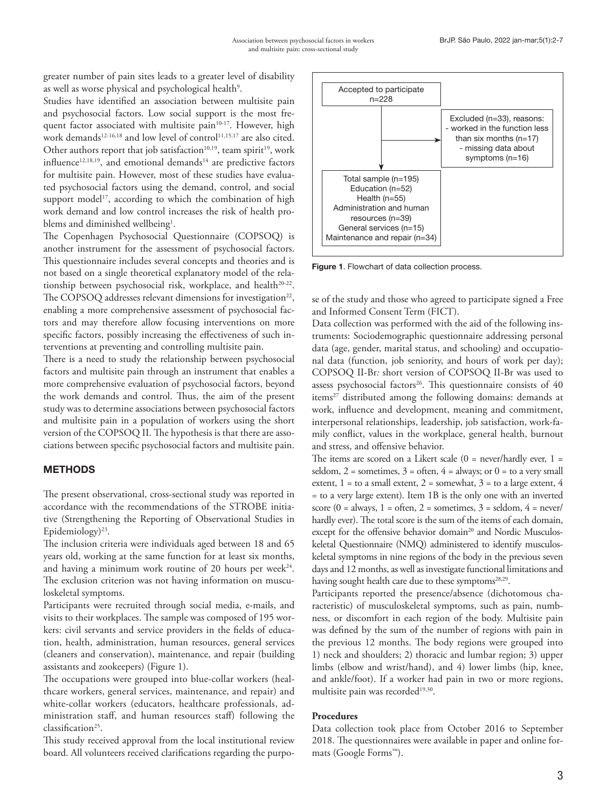greater number of pain sites leads to a greater level of disability as well as worse physical and psychological health<sup>9</sup>.

Studies have identified an association between multisite pain and psychosocial factors. Low social support is the most frequent factor associated with multisite pain<sup>10-17</sup>. However, high work demands<sup>12-16,18</sup> and low level of control<sup>11,15,17</sup> are also cited. Other authors report that job satisfaction<sup>10,19</sup>, team spirit<sup>19</sup>, work influence<sup>12,18,19</sup>, and emotional demands<sup>14</sup> are predictive factors for multisite pain. However, most of these studies have evaluated psychosocial factors using the demand, control, and social support model<sup>17</sup>, according to which the combination of high work demand and low control increases the risk of health problems and diminished wellbeing<sup>1</sup>.

The Copenhagen Psychosocial Questionnaire (COPSOQ) is another instrument for the assessment of psychosocial factors. This questionnaire includes several concepts and theories and is not based on a single theoretical explanatory model of the relationship between psychosocial risk, workplace, and health<sup>20-22</sup>. The COPSOQ addresses relevant dimensions for investigation<sup>22</sup>, enabling a more comprehensive assessment of psychosocial factors and may therefore allow focusing interventions on more specific factors, possibly increasing the effectiveness of such interventions at preventing and controlling multisite pain.

There is a need to study the relationship between psychosocial factors and multisite pain through an instrument that enables a more comprehensive evaluation of psychosocial factors, beyond the work demands and control. Thus, the aim of the present study was to determine associations between psychosocial factors and multisite pain in a population of workers using the short version of the COPSOQ II. The hypothesis is that there are associations between specific psychosocial factors and multisite pain.

# **METHODS**

The present observational, cross-sectional study was reported in accordance with the recommendations of the STROBE initiative (Strengthening the Reporting of Observational Studies in Epidemiology)<sup>23</sup>.

The inclusion criteria were individuals aged between 18 and 65 years old, working at the same function for at least six months, and having a minimum work routine of 20 hours per week $24$ . The exclusion criterion was not having information on musculoskeletal symptoms.

Participants were recruited through social media, e-mails, and visits to their workplaces. The sample was composed of 195 workers: civil servants and service providers in the fields of education, health, administration, human resources, general services (cleaners and conservation), maintenance, and repair (building assistants and zookeepers) (Figure 1).

The occupations were grouped into blue-collar workers (healthcare workers, general services, maintenance, and repair) and white-collar workers (educators, healthcare professionals, administration staff, and human resources staff) following the classification<sup>25</sup>.

This study received approval from the local institutional review board. All volunteers received clarifications regarding the purpo-



Figure 1. Flowchart of data collection process.

se of the study and those who agreed to participate signed a Free and Informed Consent Term (FICT).

Data collection was performed with the aid of the following instruments: Sociodemographic questionnaire addressing personal data (age, gender, marital status, and schooling) and occupational data (function, job seniority, and hours of work per day); COPSOQ II-Br*:* short version of COPSOQ II-Br was used to assess psychosocial factors<sup>26</sup>. This questionnaire consists of  $40$ items<sup>27</sup> distributed among the following domains: demands at work, influence and development, meaning and commitment, interpersonal relationships, leadership, job satisfaction, work-family conflict, values in the workplace, general health, burnout and stress, and offensive behavior.

The items are scored on a Likert scale  $(0 = never/hardly ever, 1 =$ seldom,  $2 =$  sometimes,  $3 =$  often,  $4 =$  always; or  $0 =$  to a very small extent,  $1 =$  to a small extent,  $2 =$  somewhat,  $3 =$  to a large extent,  $4$ = to a very large extent). Item 1B is the only one with an inverted score (0 = always, 1 = often, 2 = sometimes, 3 = seldom,  $4$  = never/ hardly ever). The total score is the sum of the items of each domain, except for the offensive behavior domain<sup>20</sup> and Nordic Musculoskeletal Questionnaire (NMQ) administered to identify musculoskeletal symptoms in nine regions of the body in the previous seven days and 12 months, as well as investigate functional limitations and having sought health care due to these symptoms<sup>28,29</sup>.

Participants reported the presence/absence (dichotomous characteristic) of musculoskeletal symptoms, such as pain, numbness, or discomfort in each region of the body. Multisite pain was defined by the sum of the number of regions with pain in the previous 12 months. The body regions were grouped into 1) neck and shoulders; 2) thoracic and lumbar region; 3) upper limbs (elbow and wrist/hand), and 4) lower limbs (hip, knee, and ankle/foot). If a worker had pain in two or more regions, multisite pain was recorded<sup>19,30</sup>.

## **Procedures**

Data collection took place from October 2016 to September 2018. The questionnaires were available in paper and online formats (Google Forms™).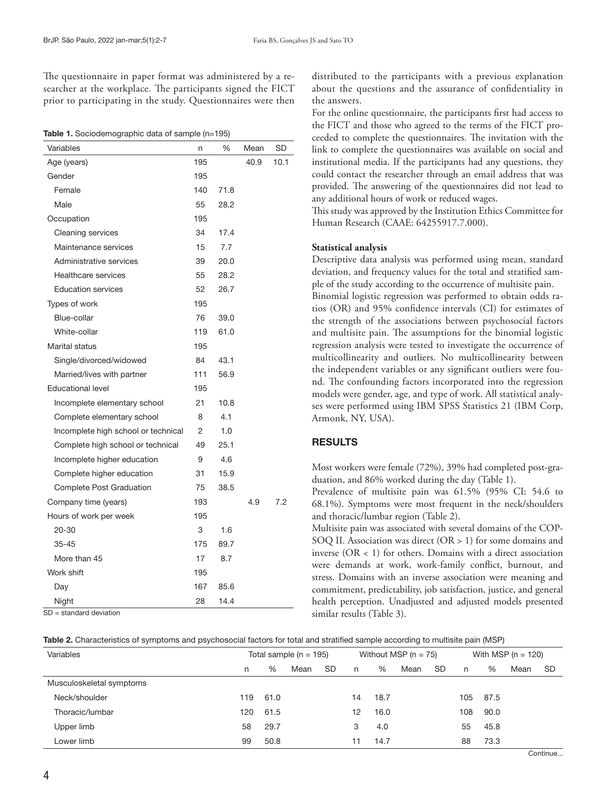The questionnaire in paper format was administered by a researcher at the workplace. The participants signed the FICT prior to participating in the study. Questionnaires were then

| Table 1. Sociodemographic data of sample (n=195) |  |  |
|--------------------------------------------------|--|--|
|                                                  |  |  |

| Variables                           | n   | %    | Mean | SD   |
|-------------------------------------|-----|------|------|------|
| Age (years)                         | 195 |      | 40.9 | 10.1 |
| Gender                              | 195 |      |      |      |
| Female                              | 140 | 71.8 |      |      |
| Male                                | 55  | 28.2 |      |      |
| Occupation                          | 195 |      |      |      |
| <b>Cleaning services</b>            | 34  | 17.4 |      |      |
| Maintenance services                | 15  | 7.7  |      |      |
| Administrative services             | 39  | 20.0 |      |      |
| Healthcare services                 | 55  | 28.2 |      |      |
| <b>Education services</b>           | 52  | 26.7 |      |      |
| Types of work                       | 195 |      |      |      |
| Blue-collar                         | 76  | 39.0 |      |      |
| White-collar                        | 119 | 61.0 |      |      |
| Marital status                      | 195 |      |      |      |
| Single/divorced/widowed             | 84  | 43.1 |      |      |
| Married/lives with partner          | 111 | 56.9 |      |      |
| <b>Educational level</b>            | 195 |      |      |      |
| Incomplete elementary school        | 21  | 10.8 |      |      |
| Complete elementary school          | 8   | 4.1  |      |      |
| Incomplete high school or technical | 2   | 1.0  |      |      |
| Complete high school or technical   | 49  | 25.1 |      |      |
| Incomplete higher education         | 9   | 4.6  |      |      |
| Complete higher education           | 31  | 15.9 |      |      |
| Complete Post Graduation            | 75  | 38.5 |      |      |
| Company time (years)                | 193 |      | 4.9  | 7.2  |
| Hours of work per week              | 195 |      |      |      |
| 20-30                               | 3   | 1.6  |      |      |
| $35 - 45$                           | 175 | 89.7 |      |      |
| More than 45                        | 17  | 8.7  |      |      |
| Work shift                          | 195 |      |      |      |
| Day                                 | 167 | 85.6 |      |      |
| Night                               | 28  | 14.4 |      |      |

SD = standard deviation

distributed to the participants with a previous explanation about the questions and the assurance of confidentiality in the answers.

For the online questionnaire, the participants first had access to the FICT and those who agreed to the terms of the FICT proceeded to complete the questionnaires. The invitation with the link to complete the questionnaires was available on social and institutional media. If the participants had any questions, they could contact the researcher through an email address that was provided. The answering of the questionnaires did not lead to any additional hours of work or reduced wages.

This study was approved by the Institution Ethics Committee for Human Research (CAAE: 64255917.7.000).

## **Statistical analysis**

Descriptive data analysis was performed using mean, standard deviation, and frequency values for the total and stratified sample of the study according to the occurrence of multisite pain. Binomial logistic regression was performed to obtain odds ratios (OR) and 95% confidence intervals (CI) for estimates of the strength of the associations between psychosocial factors and multisite pain. The assumptions for the binomial logistic regression analysis were tested to investigate the occurrence of multicollinearity and outliers. No multicollinearity between the independent variables or any significant outliers were found. The confounding factors incorporated into the regression models were gender, age, and type of work. All statistical analyses were performed using IBM SPSS Statistics 21 (IBM Corp, Armonk, NY, USA).

## RESULTS

Most workers were female (72%), 39% had completed post-graduation, and 86% worked during the day (Table 1).

Prevalence of multisite pain was 61.5% (95% CI: 54.6 to 68.1%). Symptoms were most frequent in the neck/shoulders and thoracic/lumbar region (Table 2).

Multisite pain was associated with several domains of the COP-SOQ II. Association was direct (OR > 1) for some domains and inverse (OR < 1) for others. Domains with a direct association were demands at work, work-family conflict, burnout, and stress. Domains with an inverse association were meaning and commitment, predictability, job satisfaction, justice, and general health perception. Unadjusted and adjusted models presented similar results (Table 3).

|  |  |  | Table 2. Characteristics of symptoms and psychosocial factors for total and stratified sample according to multisite pain (MSP) |  |
|--|--|--|---------------------------------------------------------------------------------------------------------------------------------|--|
|  |  |  |                                                                                                                                 |  |

| Variables                | Total sample ( $n = 195$ ) |      | Without MSP $(n = 75)$ |    |    |      | With MSP ( $n = 120$ ) |           |     |      |      |     |
|--------------------------|----------------------------|------|------------------------|----|----|------|------------------------|-----------|-----|------|------|-----|
|                          | n                          | %    | Mean                   | SD | n  | %    | Mean                   | <b>SD</b> | n   | %    | Mean | -SD |
| Musculoskeletal symptoms |                            |      |                        |    |    |      |                        |           |     |      |      |     |
| Neck/shoulder            | 119                        | 61.0 |                        |    | 14 | 18.7 |                        |           | 105 | 87.5 |      |     |
| Thoracic/lumbar          | 120                        | 61.5 |                        |    | 12 | 16.0 |                        |           | 108 | 90.0 |      |     |
| Upper limb               | 58                         | 29.7 |                        |    | 3  | 4.0  |                        |           | 55  | 45.8 |      |     |
| Lower limb               | 99                         | 50.8 |                        |    | 11 | 14.7 |                        |           | 88  | 73.3 |      |     |
|                          |                            |      |                        |    |    |      |                        |           |     |      | ___  |     |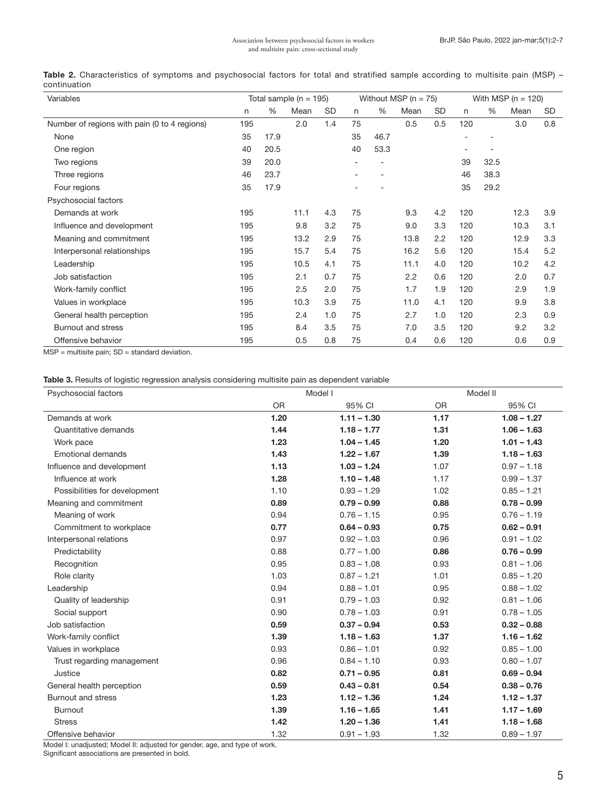| Variables                                    |     |      | Total sample ( $n = 195$ ) |     | Without MSP ( $n = 75$ ) |      |      |     | With MSP ( $n = 120$ ) |      |      |     |
|----------------------------------------------|-----|------|----------------------------|-----|--------------------------|------|------|-----|------------------------|------|------|-----|
|                                              | n   | %    | Mean                       | SD  | n                        | $\%$ | Mean | SD  | n                      | %    | Mean | SD  |
| Number of regions with pain (0 to 4 regions) | 195 |      | 2.0                        | 1.4 | 75                       |      | 0.5  | 0.5 | 120                    |      | 3.0  | 0.8 |
| None                                         | 35  | 17.9 |                            |     | 35                       | 46.7 |      |     |                        |      |      |     |
| One region                                   | 40  | 20.5 |                            |     | 40                       | 53.3 |      |     |                        |      |      |     |
| Two regions                                  | 39  | 20.0 |                            |     |                          |      |      |     | 39                     | 32.5 |      |     |
| Three regions                                | 46  | 23.7 |                            |     |                          |      |      |     | 46                     | 38.3 |      |     |
| Four regions                                 | 35  | 17.9 |                            |     |                          |      |      |     | 35                     | 29.2 |      |     |
| Psychosocial factors                         |     |      |                            |     |                          |      |      |     |                        |      |      |     |
| Demands at work                              | 195 |      | 11.1                       | 4.3 | 75                       |      | 9.3  | 4.2 | 120                    |      | 12.3 | 3.9 |
| Influence and development                    | 195 |      | 9.8                        | 3.2 | 75                       |      | 9.0  | 3.3 | 120                    |      | 10.3 | 3.1 |
| Meaning and commitment                       | 195 |      | 13.2                       | 2.9 | 75                       |      | 13.8 | 2.2 | 120                    |      | 12.9 | 3.3 |
| Interpersonal relationships                  | 195 |      | 15.7                       | 5.4 | 75                       |      | 16.2 | 5.6 | 120                    |      | 15.4 | 5.2 |
| Leadership                                   | 195 |      | 10.5                       | 4.1 | 75                       |      | 11.1 | 4.0 | 120                    |      | 10.2 | 4.2 |
| Job satisfaction                             | 195 |      | 2.1                        | 0.7 | 75                       |      | 2.2  | 0.6 | 120                    |      | 2.0  | 0.7 |
| Work-family conflict                         | 195 |      | 2.5                        | 2.0 | 75                       |      | 1.7  | 1.9 | 120                    |      | 2.9  | 1.9 |
| Values in workplace                          | 195 |      | 10.3                       | 3.9 | 75                       |      | 11.0 | 4.1 | 120                    |      | 9.9  | 3.8 |
| General health perception                    | 195 |      | 2.4                        | 1.0 | 75                       |      | 2.7  | 1.0 | 120                    |      | 2.3  | 0.9 |
| <b>Burnout and stress</b>                    | 195 |      | 8.4                        | 3.5 | 75                       |      | 7.0  | 3.5 | 120                    |      | 9.2  | 3.2 |
| Offensive behavior                           | 195 |      | 0.5                        | 0.8 | 75                       |      | 0.4  | 0.6 | 120                    |      | 0.6  | 0.9 |

Table 2. Characteristics of symptoms and psychosocial factors for total and stratified sample according to multisite pain (MSP) continuation

 $MSP =$  multisite pain;  $SD =$  standard deviation.

#### Table 3. Results of logistic regression analysis considering multisite pain as dependent variable

| Psychosocial factors          |           | Model I       | Model II  |               |  |  |  |
|-------------------------------|-----------|---------------|-----------|---------------|--|--|--|
|                               | <b>OR</b> | 95% CI        | <b>OR</b> | 95% CI        |  |  |  |
| Demands at work               | 1.20      | $1.11 - 1.30$ | 1.17      | $1.08 - 1.27$ |  |  |  |
| Quantitative demands          | 1.44      | $1.18 - 1.77$ | 1.31      | $1.06 - 1.63$ |  |  |  |
| Work pace                     | 1.23      | $1.04 - 1.45$ | 1.20      | $1.01 - 1.43$ |  |  |  |
| Emotional demands             | 1.43      | $1.22 - 1.67$ | 1.39      | $1.18 - 1.63$ |  |  |  |
| Influence and development     | 1.13      | $1.03 - 1.24$ | 1.07      | $0.97 - 1.18$ |  |  |  |
| Influence at work             | 1.28      | $1.10 - 1.48$ | 1.17      | $0.99 - 1.37$ |  |  |  |
| Possibilities for development | 1.10      | $0.93 - 1.29$ | 1.02      | $0.85 - 1.21$ |  |  |  |
| Meaning and commitment        | 0.89      | $0.79 - 0.99$ | 0.88      | $0.78 - 0.99$ |  |  |  |
| Meaning of work               | 0.94      | $0.76 - 1.15$ | 0.95      | $0.76 - 1.19$ |  |  |  |
| Commitment to workplace       | 0.77      | $0.64 - 0.93$ | 0.75      | $0.62 - 0.91$ |  |  |  |
| Interpersonal relations       | 0.97      | $0.92 - 1.03$ | 0.96      | $0.91 - 1.02$ |  |  |  |
| Predictability                | 0.88      | $0.77 - 1.00$ | 0.86      | $0.76 - 0.99$ |  |  |  |
| Recognition                   | 0.95      | $0.83 - 1.08$ | 0.93      | $0.81 - 1.06$ |  |  |  |
| Role clarity                  | 1.03      | $0.87 - 1.21$ | 1.01      | $0.85 - 1.20$ |  |  |  |
| Leadership                    | 0.94      | $0.88 - 1.01$ | 0.95      | $0.88 - 1.02$ |  |  |  |
| Quality of leadership         | 0.91      | $0.79 - 1.03$ | 0.92      | $0.81 - 1.06$ |  |  |  |
| Social support                | 0.90      | $0.78 - 1.03$ | 0.91      | $0.78 - 1.05$ |  |  |  |
| Job satisfaction              | 0.59      | $0.37 - 0.94$ | 0.53      | $0.32 - 0.88$ |  |  |  |
| Work-family conflict          | 1.39      | $1.18 - 1.63$ | 1.37      | $1.16 - 1.62$ |  |  |  |
| Values in workplace           | 0.93      | $0.86 - 1.01$ | 0.92      | $0.85 - 1.00$ |  |  |  |
| Trust regarding management    | 0.96      | $0.84 - 1.10$ | 0.93      | $0.80 - 1.07$ |  |  |  |
| Justice                       | 0.82      | $0.71 - 0.95$ | 0.81      | $0.69 - 0.94$ |  |  |  |
| General health perception     | 0.59      | $0.43 - 0.81$ | 0.54      | $0.38 - 0.76$ |  |  |  |
| <b>Burnout and stress</b>     | 1.23      | $1.12 - 1.36$ | 1.24      | $1.12 - 1.37$ |  |  |  |
| Burnout                       | 1.39      | $1.16 - 1.65$ | 1.41      | $1.17 - 1.69$ |  |  |  |
| <b>Stress</b>                 | 1.42      | $1.20 - 1.36$ | 1.41      | $1.18 - 1.68$ |  |  |  |
| Offensive behavior            | 1.32      | $0.91 - 1.93$ | 1.32      | $0.89 - 1.97$ |  |  |  |

Model I: unadjusted; Model II: adjusted for gender, age, and type of work.

Significant associations are presented in bold.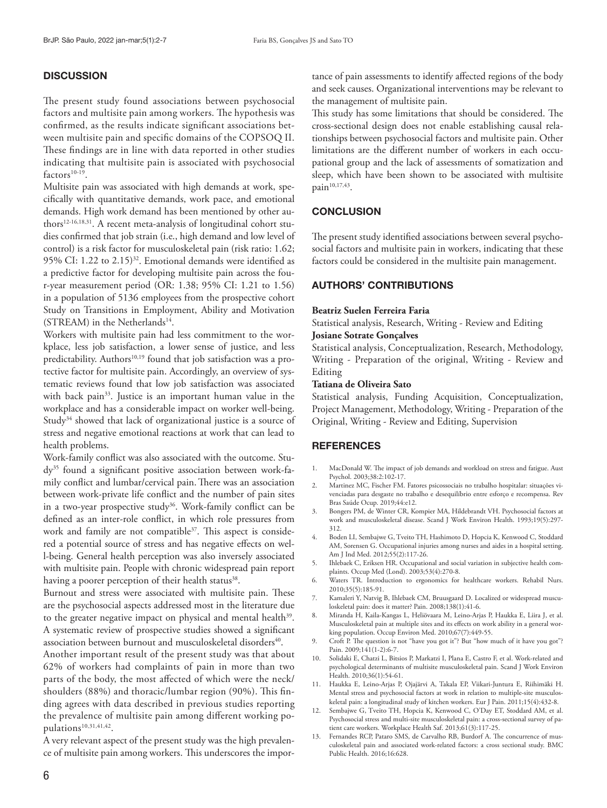## **DISCUSSION**

The present study found associations between psychosocial factors and multisite pain among workers. The hypothesis was confirmed, as the results indicate significant associations between multisite pain and specific domains of the COPSOQ II. These findings are in line with data reported in other studies indicating that multisite pain is associated with psychosocial  $factors<sup>10-19</sup>$ .

Multisite pain was associated with high demands at work, specifically with quantitative demands, work pace, and emotional demands. High work demand has been mentioned by other authors12-16,18,31. A recent meta-analysis of longitudinal cohort studies confirmed that job strain (i.e., high demand and low level of control) is a risk factor for musculoskeletal pain (risk ratio: 1.62; 95% CI: 1.22 to  $2.15$ <sup>32</sup>. Emotional demands were identified as a predictive factor for developing multisite pain across the four-year measurement period (OR: 1.38; 95% CI: 1.21 to 1.56) in a population of 5136 employees from the prospective cohort Study on Transitions in Employment, Ability and Motivation (STREAM) in the Netherlands<sup>14</sup>.

Workers with multisite pain had less commitment to the workplace, less job satisfaction, a lower sense of justice, and less predictability. Authors<sup>10,19</sup> found that job satisfaction was a protective factor for multisite pain. Accordingly, an overview of systematic reviews found that low job satisfaction was associated with back pain<sup>33</sup>. Justice is an important human value in the workplace and has a considerable impact on worker well-being. Study<sup>34</sup> showed that lack of organizational justice is a source of stress and negative emotional reactions at work that can lead to health problems.

Work-family conflict was also associated with the outcome. Study35 found a significant positive association between work-family conflict and lumbar/cervical pain.There was an association between work-private life conflict and the number of pain sites in a two-year prospective study<sup>36</sup>. Work-family conflict can be defined as an inter-role conflict, in which role pressures from work and family are not compatible<sup>37</sup>. This aspect is considered a potential source of stress and has negative effects on well-being. General health perception was also inversely associated with multisite pain. People with chronic widespread pain report having a poorer perception of their health status<sup>38</sup>.

Burnout and stress were associated with multisite pain. These are the psychosocial aspects addressed most in the literature due to the greater negative impact on physical and mental health<sup>39</sup>. A systematic review of prospective studies showed a significant association between burnout and musculoskeletal disorders<sup>40</sup>.

Another important result of the present study was that about 62% of workers had complaints of pain in more than two parts of the body, the most affected of which were the neck/ shoulders (88%) and thoracic/lumbar region (90%). This finding agrees with data described in previous studies reporting the prevalence of multisite pain among different working populations<sup>10,31,41,42</sup>.

A very relevant aspect of the present study was the high prevalence of multisite pain among workers. This underscores the importance of pain assessments to identify affected regions of the body and seek causes. Organizational interventions may be relevant to the management of multisite pain.

This study has some limitations that should be considered. The cross-sectional design does not enable establishing causal relationships between psychosocial factors and multisite pain. Other limitations are the different number of workers in each occupational group and the lack of assessments of somatization and sleep, which have been shown to be associated with multisite pain<sup>10,17,43</sup>.

# **CONCLUSION**

The present study identified associations between several psychosocial factors and multisite pain in workers, indicating that these factors could be considered in the multisite pain management.

## AUTHORS' CONTRIBUTIONS

## **Beatriz Suelen Ferreira Faria**

Statistical analysis, Research, Writing - Review and Editing **Josiane Sotrate Gonçalves** 

Statistical analysis, Conceptualization, Research, Methodology, Writing - Preparation of the original, Writing - Review and Editing

#### **Tatiana de Oliveira Sato**

Statistical analysis, Funding Acquisition, Conceptualization, Project Management, Methodology, Writing - Preparation of the Original, Writing - Review and Editing, Supervision

## **REFERENCES**

- 1. MacDonald W. The impact of job demands and workload on stress and fatigue. Aust Psychol. 2003;38:2:102-17.
- 2. Martinez MC, Fischer FM. Fatores psicossociais no trabalho hospitalar: situações vivenciadas para desgaste no trabalho e desequilíbrio entre esforço e recompensa. Rev Bras Saúde Ocup. 2019;44:e12.
- 3. Bongers PM, de Winter CR, Kompier MA, Hildebrandt VH. Psychosocial factors at work and musculoskeletal disease. Scand J Work Environ Health. 1993;19(5):297- 312.
- 4. Boden LI, Sembajwe G, Tveito TH, Hashimoto D, Hopcia K, Kenwood C, Stoddard AM, Sorensen G. Occupational injuries among nurses and aides in a hospital setting. Am J Ind Med. 2012;55(2):117-26.
- 5. Ihlebaek C, Eriksen HR. Occupational and social variation in subjective health complaints. Occup Med (Lond). 2003;53(4):270-8.
- 6. Waters TR. Introduction to ergonomics for healthcare workers. Rehabil Nurs. 2010;35(5):185-91.
- 7. Kamaleri Y, Natvig B, Ihlebaek CM, Bruusgaard D. Localized or widespread musculoskeletal pain: does it matter? Pain. 2008;138(1):41-6.
- 8. Miranda H, Kaila-Kangas L, Heliövaara M, Leino-Arjas P, Haukka E, Liira J, et al. Musculoskeletal pain at multiple sites and its effects on work ability in a general working population. Occup Environ Med. 2010;67(7):449-55.
- 9. Croft P. The question is not "have you got it"? But "how much of it have you got"? Pain. 2009;141(1-2):6-7.
- 10. Solidaki E, Chatzi L, Bitsios P, Markatzi I, Plana E, Castro F, et al. Work-related and psychological determinants of multisite musculoskeletal pain. Scand J Work Environ Health. 2010;36(1):54-61.
- 11. Haukka E, Leino-Arjas P, Ojajärvi A, Takala EP, Viikari-Juntura E, Riihimäki H. Mental stress and psychosocial factors at work in relation to multiple-site musculoskeletal pain: a longitudinal study of kitchen workers. Eur J Pain. 2011;15(4):432-8.
- 12. Sembajwe G, Tveito TH, Hopcia K, Kenwood C, O'Day ET, Stoddard AM, et al. Psychosocial stress and multi-site musculoskeletal pain: a cross-sectional survey of patient care workers. Workplace Health Saf. 2013;61(3):117-25.
- 13. Fernandes RCP, Pataro SMS, de Carvalho RB, Burdorf A. The concurrence of musculoskeletal pain and associated work-related factors: a cross sectional study. BMC Public Health. 2016;16:628.